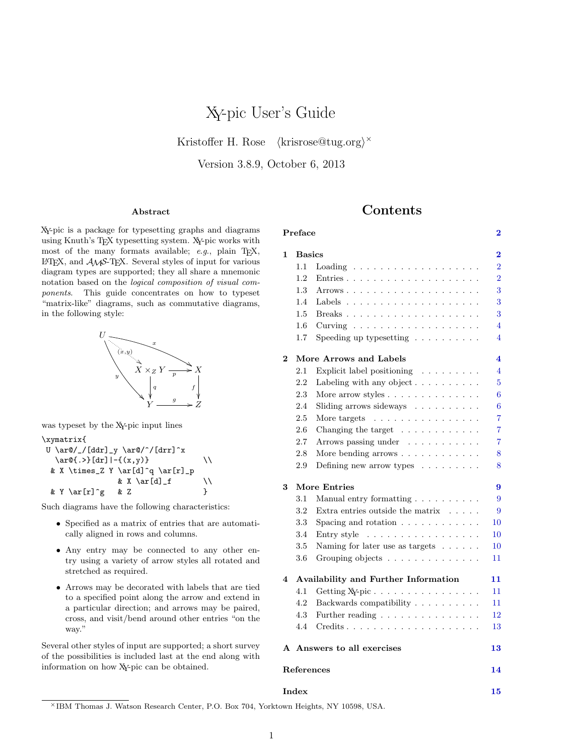# XY-pic User's Guide

<span id="page-0-0"></span>Kristoffer H. Rose *⟨*krisrose@tug.org*⟩ ×*

Version 3.8.9, October 6, 2013

#### **Abstract**

# **Contents**

**Preface [2](#page-1-0)**

XY-pic is a package for typesetting graphs and diagrams using Knuth's TEX typesetting system. XY-pic works with most of the many formats available; *e.g.*, plain T<sub>E</sub>X, <sup>L</sup>ATEX, and *AMS*-TEX. Several styles of input for various diagram types are supported; they all share a mnemonic notation based on the *logical composition of visual components*. This guide concentrates on how to typeset "matrix-like" diagrams, such as commutative diagrams, in the following style:



was typeset by the XY-pic input lines

\xymatrix{

U \ar@/\_/[ddr]\_y \ar@/^/[drr]^x  $\ar@{.}$   $\{dr\}$  - { (x, y) } \\ & X \times\_Z Y \ar[d]^q \ar[r]\_p & X \ar[d]\_f  $\setminus$ & Y \ar[r]^g & Z }

Such diagrams have the following characteristics:

- *•* Specified as a matrix of entries that are automatically aligned in rows and columns.
- *•* Any entry may be connected to any other entry using a variety of arrow styles all rotated and stretched as required.
- *•* Arrows may be decorated with labels that are tied to a specified point along the arrow and extend in a particular direction; and arrows may be paired, cross, and visit/bend around other entries "on the way."

Several other styles of input are supported; a short survey of the possibilities is included last at the end along with information on how XY-pic can be obtained.

| 1        | <b>Basics</b>                        |                                                                                               |  |  |  |
|----------|--------------------------------------|-----------------------------------------------------------------------------------------------|--|--|--|
|          | $1.1\,$                              | Loading $\ldots \ldots \ldots \ldots \ldots \ldots$                                           |  |  |  |
|          | 1.2                                  |                                                                                               |  |  |  |
|          | 1.3                                  |                                                                                               |  |  |  |
|          | 1.4                                  | Labels $\ldots \ldots \ldots \ldots \ldots \ldots \ldots$                                     |  |  |  |
|          | 1.5                                  |                                                                                               |  |  |  |
|          | $1.6\,$                              | Curving $\ldots \ldots \ldots \ldots \ldots \ldots$                                           |  |  |  |
|          | 1.7                                  | Speeding up type<br>setting $\ldots \ldots \ldots$                                            |  |  |  |
| $\bf{2}$ |                                      | More Arrows and Labels                                                                        |  |  |  |
|          | $2.1\,$                              | Explicit label positioning $\ldots \ldots \ldots$                                             |  |  |  |
|          | 2.2                                  | Labeling with any object $\ldots \ldots \ldots$                                               |  |  |  |
|          | 2.3                                  |                                                                                               |  |  |  |
|          | 2.4                                  | Sliding arrows sideways $\ldots \ldots \ldots$                                                |  |  |  |
|          | 2.5                                  | More targets $\ldots \ldots \ldots \ldots \ldots$                                             |  |  |  |
|          | 2.6                                  | Changing the target $\ldots \ldots \ldots \ldots$                                             |  |  |  |
|          | 2.7                                  | Arrows passing under $\ldots \ldots \ldots$                                                   |  |  |  |
|          | $2.8\,$                              | More bending arrows                                                                           |  |  |  |
|          | $2.9\,$                              | Defining new arrow types $\phantom{.}.\phantom{.}\ldots\ldots\ldots\phantom{.}$ .             |  |  |  |
| 3        |                                      | <b>More Entries</b>                                                                           |  |  |  |
|          | $3.1\,$                              | Manual entry formatting $\ldots \ldots \ldots$                                                |  |  |  |
|          | 3.2                                  | Extra entries outside the matrix $\ldots$ .                                                   |  |  |  |
|          | $3.3\,$                              | Spacing and rotation $\ldots \ldots \ldots \ldots$                                            |  |  |  |
|          | 3.4                                  | Entry style $\ldots \ldots \ldots \ldots \ldots$                                              |  |  |  |
|          | $3.5\,$                              | Naming for later use as targets $\phantom{1}.\phantom{1}.\phantom{1}.\phantom{1}.\phantom{1}$ |  |  |  |
|          | 3.6                                  | Grouping objects                                                                              |  |  |  |
| 4        | Availability and Further Information |                                                                                               |  |  |  |
|          | 4.1                                  | Getting X <sub>Y</sub> -pic                                                                   |  |  |  |
|          | 4.2                                  | Backwards compatibility $\ldots \ldots \ldots$                                                |  |  |  |
|          | 4.3                                  | Further reading                                                                               |  |  |  |
|          | 4.4                                  |                                                                                               |  |  |  |
|          |                                      | A Answers to all exercises                                                                    |  |  |  |
|          |                                      |                                                                                               |  |  |  |

**Index [15](#page-14-0)**

*<sup>×</sup>*IBM Thomas J. Watson Research Center, P.O. Box 704, Yorktown Heights, NY 10598, USA.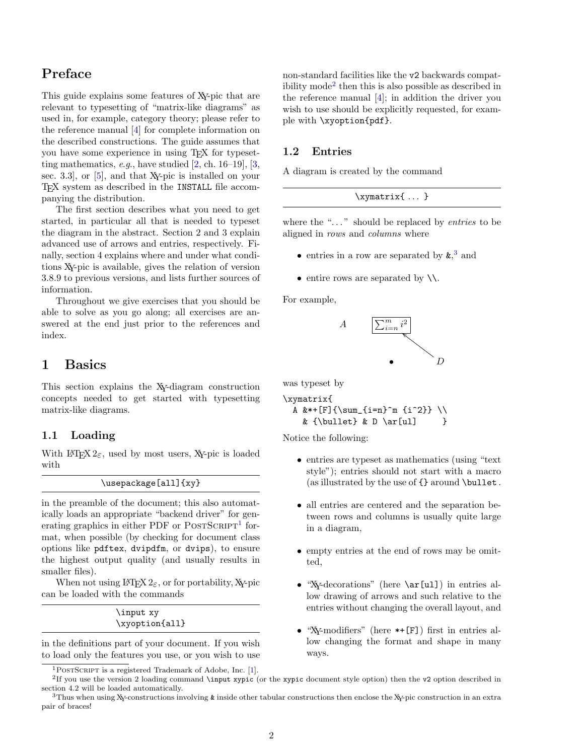# <span id="page-1-7"></span><span id="page-1-0"></span>**Preface**

This guide explains some features of XY-pic that are relevant to typesetting of "matrix-like diagrams" as used in, for example, category theory; please refer to the reference manual [\[4\]](#page-13-1) for complete information on the described constructions. The guide assumes that you have some experience in using T<sub>E</sub>X for typesetting mathematics, *e*.*g*., have studied [\[2,](#page-13-2) ch. 16–19], [\[3,](#page-13-3) sec. 3.3], or [\[5\]](#page-13-4), and that XY-pic is installed on your T<sub>E</sub>X system as described in the INSTALL file accompanying the distribution.

The first section describes what you need to get started, in particular all that is needed to typeset the diagram in the abstract. Section 2 and 3 explain advanced use of arrows and entries, respectively. Finally, section 4 explains where and under what conditions XY-pic is available, gives the relation of version 3.8.9 to previous versions, and lists further sources of information.

Throughout we give exercises that you should be able to solve as you go along; all exercises are answered at the end just prior to the references and index.

# <span id="page-1-1"></span>**1 Basics**

This section explains the XY-diagram construction concepts needed to get started with typesetting matrix-like diagrams.

### <span id="page-1-2"></span>**1.1 Loading**

With  $\text{LATEX } 2\varepsilon$ , used by most users, X<sub>Y</sub>-pic is loaded with

\usepackage[all]{xy}

in the preamble of the document; this also automatically loads an appropriate "backend driver" for gen-erating graphics in either PDF or POSTSCRIPT<sup>[1](#page-1-4)</sup> format, when possible (by checking for document class options like pdftex, dvipdfm, or dvips), to ensure the highest output quality (and usually results in smaller files).

When not using  $\angle$ FFX 2<sub> $\epsilon$ </sub>, or for portability, X<sub>Y</sub>-pic can be loaded with the commands

> \input xy \xyoption{all}

in the definitions part of your document. If you wish to load only the features you use, or you wish to use non-standard facilities like the v2 backwards compatibility mode[2](#page-1-5) then this is also possible as described in the reference manual [\[4\]](#page-13-1); in addition the driver you wish to use should be explicitly requested, for example with \xyoption{pdf}.

### <span id="page-1-3"></span>**1.2 Entries**

A diagram is created by the command

 $\xymatrix_{...}$ 

where the "..." should be replaced by *entries* to be aligned in *rows* and *columns* where

- entries in a row are separated by  $\boldsymbol{\mathsf{k}},^3$  $\boldsymbol{\mathsf{k}},^3$  and
- entire rows are separated by  $\setminus\setminus$ .

For example,



was typeset by

```
\xymatrix{
  A &*+[F]{\sum_{i=n}^m {i^2}} \\
    & {\hbox{\tt \& D \ar[u]} \hbox{\tt \& D \ar[v]}
```
Notice the following:

- entries are typeset as mathematics (using "text" style"); entries should not start with a macro (as illustrated by the use of  $\{\}$  around \bullet.
- all entries are centered and the separation between rows and columns is usually quite large in a diagram,
- empty entries at the end of rows may be omitted,
- "Xy-decorations" (here \ar[ul]) in entries allow drawing of arrows and such relative to the entries without changing the overall layout, and
- *•* "XY-modifiers" (here \*+[F]) first in entries allow changing the format and shape in many ways.

<span id="page-1-5"></span><span id="page-1-4"></span><sup>1</sup>PostScript is a registered Trademark of Adobe, Inc. [\[1\].](#page-13-5)

<sup>&</sup>lt;sup>2</sup>If you use the version 2 loading command \input xypic (or the xypic document style option) then the v2 option described in section 4.2 will be loaded automatically.  $3$ Thus when using X<sub>Y</sub>-constructions involving & inside other tabular constructions then enclose the X<sub>Y</sub>-pic construction in an extra

<span id="page-1-6"></span>pair of braces!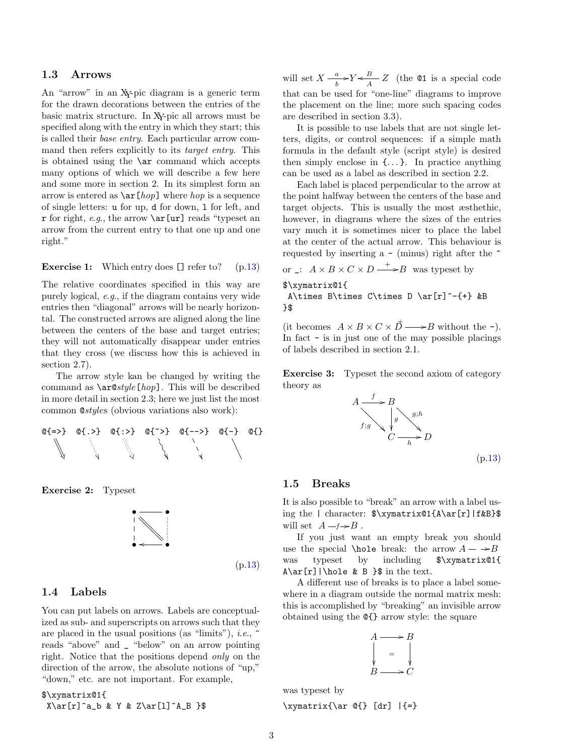#### <span id="page-2-4"></span><span id="page-2-0"></span>**1.3 Arrows**

An "arrow" in an XY-pic diagram is a generic term for the drawn decorations between the entries of the basic matrix structure. In XY-pic all arrows must be specified along with the entry in which they start; this is called their *base entry*. Each particular arrow command then refers explicitly to its *target entry*. This is obtained using the \ar command which accepts many options of which we will describe a few here and some more in section 2. In its simplest form an arrow is entered as \ar[*hop*] where *hop* is a sequence of single letters: u for up, d for down, l for left, and r for right, *e*.*g*., the arrow \ar[ur] reads "typeset an arrow from the current entry to that one up and one right."

#### <span id="page-2-3"></span>**Exercise 1:** Which entry does [] refer to? (p[.13\)](#page-12-2)

The relative coordinates specified in this way are purely logical, *e*.*g*., if the diagram contains very wide entries then "diagonal" arrows will be nearly horizontal. The constructed arrows are aligned along the line between the centers of the base and target entries; they will not automatically disappear under entries that they cross (we discuss how this is achieved in section 2.7).

The arrow style kan be changed by writing the command as \ar@*style*[*hop*]. This will be described in more detail in section 2.3; here we just list the most common @*style*s (obvious variations also work):



**Exercise 2:** Typeset



#### <span id="page-2-1"></span>**1.4 Labels**

You can put labels on arrows. Labels are conceptualized as sub- and superscripts on arrows such that they are placed in the usual positions (as "limits"), *i*.*e*., ^ reads "above" and \_ "below" on an arrow pointing right. Notice that the positions depend *only* on the direction of the arrow, the absolute notions of "up," "down," etc. are not important. For example,

\$\xymatrix@1{  $X\ar[r]^a_b \& Y \& Z\ar[1]^A_B$  }\$

will set  $X \stackrel{a}{\longrightarrow}$  $\frac{a}{b}$  >  $Y \leftarrow \frac{B}{A}$  *Z* (the **@1** is a special code that can be used for "one-line" diagrams to improve the placement on the line; more such spacing codes are described in section 3.3).

It is possible to use labels that are not single letters, digits, or control sequences: if a simple math formula in the default style (script style) is desired then simply enclose in  $\{\ldots\}$ . In practice anything can be used as a label as described in section 2.2.

Each label is placed perpendicular to the arrow at the point halfway between the centers of the base and target objects. This is usually the most æsthethic, however, in diagrams where the sizes of the entries vary much it is sometimes nicer to place the label at the center of the actual arrow. This behaviour is requested by inserting a  $-$  (minus) right after the  $\hat{}$ 

or \_:  $A \times B \times C \times D \longrightarrow B$  was typeset by

#### \$\xymatrix@1{

A\times B\times C\times D \ar[r]^-{+} &B  $}$ 

(it becomes  $A \times B \times C \times D \longrightarrow B$  without the -). In fact - is in just one of the may possible placings of labels described in section 2.1.

**Exercise 3:** Typeset the second axiom of category theory as



(p[.13\)](#page-12-4)

#### <span id="page-2-2"></span>**1.5 Breaks**

It is also possible to "break" an arrow with a label using the | character: \$\xymatrix@1{A\ar[r]|f&B}\$ will set  $A - f \rightarrow B$ .

If you just want an empty break you should use the special **\hole** break: the arrow  $A - \rightarrow B$ was typeset by including \$\xymatrix@1{  $A\ar[r]|\hbox{the } \& B \hbox{ }$  in the text.

A different use of breaks is to place a label somewhere in a diagram outside the normal matrix mesh: this is accomplished by "breaking" an invisible arrow obtained using the @{} arrow style: the square

$$
A \longrightarrow B
$$
  
\n
$$
\downarrow = \qquad \downarrow
$$
  
\n
$$
B \longrightarrow C
$$

was typeset by

\xymatrix{\ar @{} [dr] |{=}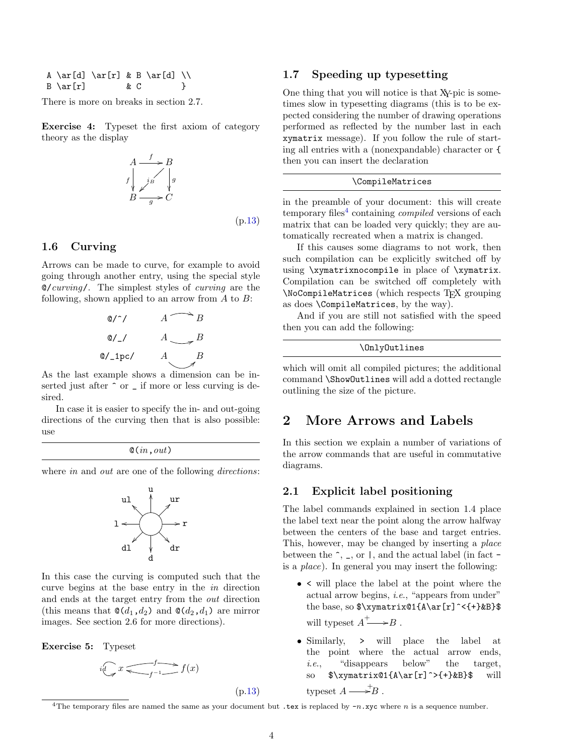<span id="page-3-5"></span>A \ar[d] \ar[r] & B \ar[d] \\  $B \ar[r]$  & C }

There is more on breaks in section 2.7.

*f*

**Exercise 4:** Typeset the first axiom of category theory as the display

$$
A \xrightarrow{f} B
$$
  
\n
$$
\downarrow^{j_{B}} \qquad \downarrow^{g}
$$
  
\n
$$
B \xrightarrow{g} C
$$
  
\n
$$
(p.13)
$$

#### <span id="page-3-0"></span>**1.6 Curving**

Arrows can be made to curve, for example to avoid going through another entry, using the special style @/*curving*/. The simplest styles of *curving* are the following, shown applied to an arrow from *A* to *B*:

$$
\begin{array}{ccc}\n\text{Q}/\gamma & A & \rightarrow B \\
\text{Q}/\gamma & A & \rightarrow B \\
\text{Q}/\text{1pc/} & A & B \\
\end{array}
$$

As the last example shows a dimension can be inserted just after  $\hat{ }$  or  $\hat{ }$  if more or less curving is desired.

In case it is easier to specify the in- and out-going directions of the curving then that is also possible: use

$$
\mathsf{Q}(in,out)
$$

where *in* and *out* are one of the following *directions*:



In this case the curving is computed such that the curve begins at the base entry in the *in* direction and ends at the target entry from the *out* direction (this means that  $\mathcal{Q}(d_1, d_2)$  and  $\mathcal{Q}(d_2, d_1)$  are mirror images. See section 2.6 for more directions).

**Exercise 5:** Typeset

$$
i\bigoplus x \stackrel{f}{\underbrace{\smile f^{-1}}} f(x)
$$

(p[.13\)](#page-12-6)

#### <span id="page-3-1"></span>**1.7 Speeding up typesetting**

One thing that you will notice is that XY-pic is sometimes slow in typesetting diagrams (this is to be expected considering the number of drawing operations performed as reflected by the number last in each xymatrix message). If you follow the rule of starting all entries with a (nonexpandable) character or { then you can insert the declaration

#### \CompileMatrices

in the preamble of your document: this will create temporary files<sup>[4](#page-3-4)</sup> containing *compiled* versions of each matrix that can be loaded very quickly; they are automatically recreated when a matrix is changed.

If this causes some diagrams to not work, then such compilation can be explicitly switched off by using \xymatrixnocompile in place of \xymatrix. Compilation can be switched off completely with \NoCompileMatrices (which respects TEX grouping as does \CompileMatrices, by the way).

And if you are still not satisfied with the speed then you can add the following:

```
\OnlyOutlines
```
which will omit all compiled pictures; the additional command \ShowOutlines will add a dotted rectangle outlining the size of the picture.

### <span id="page-3-2"></span>**2 More Arrows and Labels**

In this section we explain a number of variations of the arrow commands that are useful in commutative diagrams.

#### <span id="page-3-3"></span>**2.1 Explicit label positioning**

The label commands explained in section 1.4 place the label text near the point along the arrow halfway between the centers of the base and target entries. This, however, may be changed by inserting a *place* between the  $\hat{ }$ ,  $\hat{ }$ , or  $\hat{ }$ , and the actual label (in fact  $\hat{ }$ is a *place*). In general you may insert the following:

- *•* < will place the label at the point where the actual arrow begins, *i*.*e*., "appears from under" the base, so  $\varphi(x) = \frac{1}{A\ar[r]}^{\ell}$ will typeset  $A^+ \longrightarrow B$ .
- *•* Similarly, > will place the label at the point where the actual arrow ends, *i.e.*, "disappears below" the target, so  $\sqrt{\x$ ymatrix@1{A\ar[r]^>{+}&B}\$ will typeset  $A \longrightarrow B$ .

<span id="page-3-4"></span><sup>4</sup>The temporary files are named the same as your document but  $\text{.tex}$  is replaced by  $-n \cdot \text{xyc}$  where *n* is a sequence number.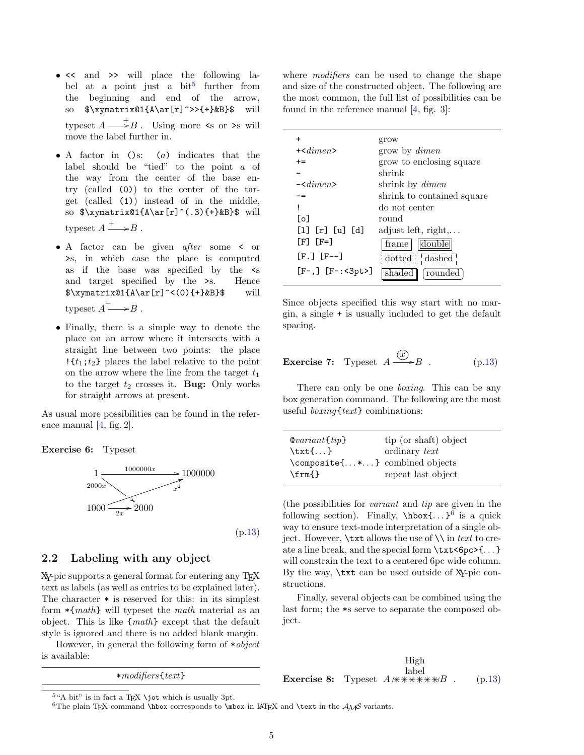- <span id="page-4-4"></span>•  $\leq$  and  $\geq$  will place the following la-bel at a point just a bit<sup>[5](#page-4-1)</sup> further from the beginning and end of the arrow, so  $\sqrt{\xsqrt{A\ar[r]}}>>+ \&B}$  will typeset  $A \longrightarrow B$ . Using more  $\leq$  or  $\geq$  will move the label further in.
- *•* A factor in ()s: (*a*) indicates that the label should be "tied" to the point *a* of the way from the center of the base entry (called (0)) to the center of the target (called (1)) instead of in the middle, so  $\xymatrix@1{A\ar[r]^(.3){+}&B\$  will typeset  $A \xrightarrow{+} B$ .
- *•* A factor can be given *after* some < or >s, in which case the place is computed as if the base was specified by the <s and target specified by the >s. Hence  $\xymatrix@1{A\ar[r]^<(0){+}&B}$ \$ will typeset  $A^+ \longrightarrow B$ .
- *•* Finally, there is a simple way to denote the place on an arrow where it intersects with a straight line between two points: the place  $\{t_1;t_2\}$  places the label relative to the point on the arrow where the line from the target  $t_1$ to the target  $t_2$  crosses it. **Bug:** Only works for straight arrows at present.

As usual more possibilities can be found in the reference manual [\[4,](#page-13-1) fig. 2].

**Exercise 6:** Typeset



(p[.13\)](#page-12-7)

#### <span id="page-4-0"></span>**2.2 Labeling with any object**

XY-pic supports a general format for entering any T<sub>EX</sub> text as labels (as well as entries to be explained later). The character \* is reserved for this: in its simplest form \*{*math*} will typeset the *math* material as an object. This is like {*math*} except that the default style is ignored and there is no added blank margin.

However, in general the following form of \**object* is available:

\**modifiers*{*text*}

where *modifiers* can be used to change the shape and size of the constructed object. The following are the most common, the full list of possibilities can be found in the reference manual [\[4,](#page-13-1) fig. 3]:

| $\ddot{}$                             | grow                         |
|---------------------------------------|------------------------------|
| $+$ < $dimen$ >                       | grow by <i>dimen</i>         |
| $+ =$                                 | grow to enclosing square     |
|                                       | shrink                       |
| $-\langle$ dimen $\rangle$            | shrink by <i>dimen</i>       |
|                                       | shrink to contained square   |
| Ţ                                     | do not center                |
| [o                                    | round                        |
| [1] [r] [u] [d]                       | adjust left, $right, \ldots$ |
| $\lceil F \rceil$ $\lceil F = \rceil$ | double<br>frame              |
| [F.] [F--]                            | $doted$ : $dashed$           |
| $[F-,]$ $[F-:-3pt>]$                  | shaded [frounded]            |

Since objects specified this way start with no margin, a single + is usually included to get the default spacing.

<span id="page-4-3"></span>**Exercise 7:** Typeset 
$$
A \xrightarrow{\textcircled{x}} B
$$
. (p.13)

There can only be one *boxing*. This can be any box generation command. The following are the most useful *boxing*{*text*} combinations:

| $\mathcal{Q} variant{tip}$     | tip (or shaft) object |
|--------------------------------|-----------------------|
| $\text{txt} \ldots$            | ordinary text         |
| \composite{*} combined objects |                       |
| $\mathcal{m}$                  | repeat last object    |

(the possibilities for *variant* and *tip* are given in the following section). Finally,  $\hbar$ ox $\{ \ldots \}^6$  $\{ \ldots \}^6$  is a quick way to ensure text-mode interpretation of a single object. However, \txt allows the use of \\ in *text* to create a line break, and the special form \txt<6pc>{. . . } will constrain the text to a centered 6pc wide column. By the way, \txt can be used outside of XY-pic constructions.

Finally, several objects can be combined using the last form; the \*s serve to separate the composed object.

**Exercise 8:** Typeset  $A$   $\forall$   $*\forall$   $*\forall$   $*$   $*\forall B$  . (p[.13\)](#page-12-9) High label

<span id="page-4-1"></span> $5$ "A bit" is in fact a T<sub>EX</sub> \jot which is usually 3pt.

<span id="page-4-2"></span><sup>&</sup>lt;sup>6</sup>The plain T<sub>E</sub>X command \hbox corresponds to \mbox in L<sup>AT</sup>EX and \text in the  $A_{\mathcal{M}}\mathcal{S}$  variants.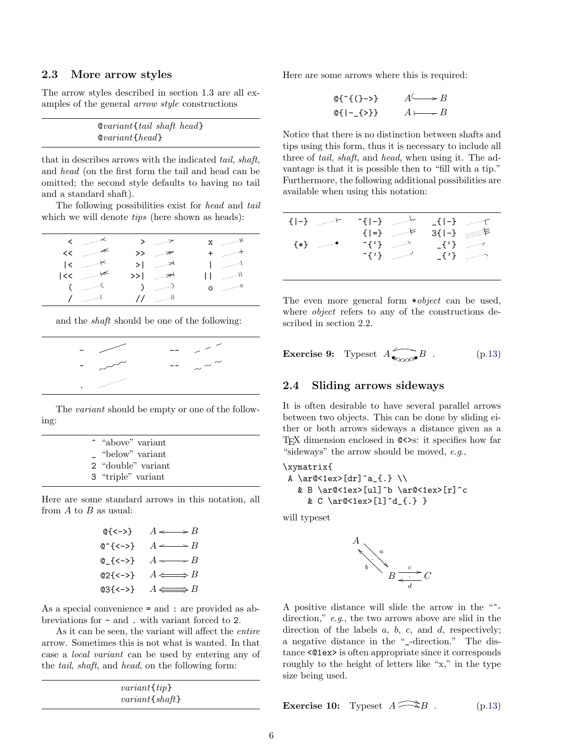#### <span id="page-5-2"></span><span id="page-5-0"></span>**2.3 More arrow styles**

The arrow styles described in section 1.3 are all examples of the general *arrow style* constructions

| $\&variant$ tail shaft head |  |
|-----------------------------|--|
| $\&variant\{head\}$         |  |

that in describes arrows with the indicated *tail*, *shaft*, and *head* (on the first form the tail and head can be omitted; the second style defaults to having no tail and a standard shaft).

The following possibilities exist for *head* and *tail* which we will denote *tips* (here shown as heads):

| $\mathcal{L} \subset \mathbb{R}^{n \times n}$ | $>$ and $\tau$    | $\mathbf{x} = \cos \theta \times \mathbf{x}$                   |
|-----------------------------------------------|-------------------|----------------------------------------------------------------|
| $<<$ $\rightarrow$                            | $>>$ $\mathbb{R}$ | $+$ and $+$                                                    |
| $ <$ and $\leq$                               | >⊺ …∞প            | $\mathcal{L}_{\text{max}}$                                     |
| $ <<$ $ <<$                                   | >>∣ ≫'            | $\prod_{i=1}^n$ and $\prod_{i=1}^n$                            |
| $\mathcal{C}$ and $\mathcal{C}$               | ು ಹಾಲಾ            | $\mathbf{O} = \left( \mathbb{R}^{100 \times 10^{100}} \right)$ |
| $\mathcal{L}$ and $\mathcal{L}$               | $11$ and $\pm$    |                                                                |

and the *shaft* should be one of the following:

| $\tilde{\phantom{a}}$ |                                                                                                                                                                                                                                | $\sim$ $\sim$ $\sim$<br>$\sim$ $\sim$ |
|-----------------------|--------------------------------------------------------------------------------------------------------------------------------------------------------------------------------------------------------------------------------|---------------------------------------|
| ٠                     | a consequent de la familie de la familie de la familie de la familie de la familie de la familie de la familie de la familie de la familie de la familie de la familie de la familie de la familie de la familie de la familie |                                       |

The *variant* should be empty or one of the following:

|          | ~ "above" variant  |
|----------|--------------------|
| $\equiv$ | "below" variant    |
|          | 2 "double" variant |
|          | 3 "triple" variant |

Here are some standard arrows in this notation, all from *A* to *B* as usual:

| $@{<->}$        | $A \longrightarrow B$     |
|-----------------|---------------------------|
| @^{<->}         | $A \longrightarrow B$     |
| @_{<->}         | $A \longrightarrow B$     |
| $@2{<-\rangle}$ | $A \Longleftrightarrow B$ |
| $@3{<->}$       | $A \Longleftrightarrow B$ |

As a special convenience = and : are provided as abbreviations for - and . with variant forced to 2.

As it can be seen, the variant will affect the *entire* arrow. Sometimes this is not what is wanted. In that case a *local variant* can be used by entering any of the *tail*, *shaft*, and *head*, on the following form:

| $variant \{ tip\}$ |
|--------------------|
| $variant{,}$       |

Here are some arrows where this is required:

$$
\begin{array}{ll}\n\text{Q}^{\wedge} \{\text{Q} \rightarrow \text{Q} \} & A \longrightarrow B \\
\text{Q}^{\wedge} \{\text{Q} \rightarrow \text{Q} \} & A \longmapsto B \\
 & A \longmapsto B\n\end{array}
$$

Notice that there is no distinction between shafts and tips using this form, thus it is necessary to include all three of *tail*, *shaft*, and *head*, when using it. The advantage is that it is possible then to "fill with a tip." Furthermore, the following additional possibilities are available when using this notation:

|         | $\{-\}$ $\qquad \qquad \vdots$ |                   | $\sim$ -1-3 and $\sim$              |               | $-1$ - $-1$                                               |
|---------|--------------------------------|-------------------|-------------------------------------|---------------|-----------------------------------------------------------|
|         |                                |                   | $\{ \mathbf{=} \}$ and $\mathbf{=}$ | $3{1-}$       | $\begin{aligned} \mathcal{A}_{\text{RSE}} \end{aligned}$  |
| $\{*\}$ | ال ا <b>ل</b> احتمال المريض ال | $\sim$ { $\sim$ } | الكاسين                             | $\mathcal{L}$ | $\mathcal{L}_{\text{max}}$ and $\mathcal{L}_{\text{max}}$ |
|         |                                |                   | <sub>ົ້</sub> {'} _______           |               | $\lfloor \{\prime\} \rfloor$ and $\lfloor \prime \rfloor$ |
|         |                                |                   |                                     |               |                                                           |

The even more general form \**object* can be used, where *object* refers to any of the constructions described in section 2.2.

**Exercise 9:** Typeset 
$$
A_{\bullet \times \times \times} B
$$
. (p.13)

#### <span id="page-5-1"></span>**2.4 Sliding arrows sideways**

It is often desirable to have several parallel arrows between two objects. This can be done by sliding either or both arrows sideways a distance given as a TEX dimension enclosed in @<>s: it specifies how far "sideways" the arrow should be moved, *e*.*g*.,

```
\xymatrix{
 A \ar@<1ex>[dr]^a_{.} \\
  & B \ar@<1ex>[ul]^b \ar@<1ex>[r]^c
    & C \ar@<1ex>[l]^d_{.} }
```
will typeset



A positive distance will slide the arrow in the "^ direction," *e*.*g*., the two arrows above are slid in the direction of the labels *a*, *b*, *c*, and *d*, respectively; a negative distance in the "\_-direction." The distance <@1ex> is often appropriate since it corresponds roughly to the height of letters like "x," in the type size being used.

**Exercise 10:** Typeset 
$$
A \widehat{\longrightarrow} B
$$
. (p.13)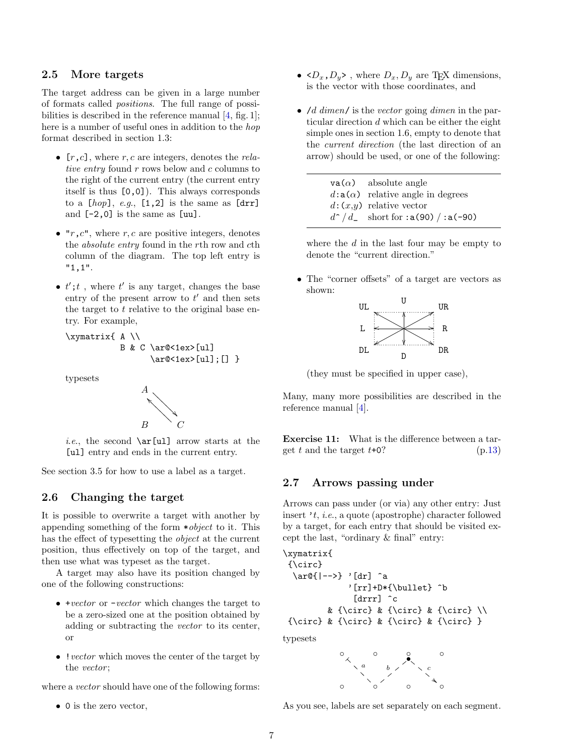### <span id="page-6-3"></span><span id="page-6-0"></span>**2.5 More targets**

The target address can be given in a large number of formats called *positions*. The full range of possibilities is described in the reference manual [\[4,](#page-13-1) fig. 1]; here is a number of useful ones in addition to the *hop* format described in section 1.3:

- *•* [*r*,*c*], where *r, c* are integers, denotes the *relative entry* found *r* rows below and *c* columns to the right of the current entry (the current entry itself is thus [0,0]). This always corresponds to a  $[hop], e.g., [1,2]$  is the same as  $[drr]$ and [-2,0] is the same as [uu].
- *•* "*r*,*c*", where *r, c* are positive integers, denotes the *absolute entry* found in the *r*th row and *c*th column of the diagram. The top left entry is "1,1".
- $t'$ ;  $t'$ , where  $t'$  is any target, changes the base entry of the present arrow to *t ′* and then sets the target to *t* relative to the original base entry. For example,

```
\xymatrix{ A \\
           B & C \ar@<1ex>[ul]
                 \ar@<1ex>[ul];[] }
```
typesets



*i.e.*, the second **\ar[ul]** arrow starts at the [ul] entry and ends in the current entry.

See section 3.5 for how to use a label as a target.

### <span id="page-6-1"></span>**2.6 Changing the target**

It is possible to overwrite a target with another by appending something of the form \**object* to it. This has the effect of typesetting the *object* at the current position, thus effectively on top of the target, and then use what was typeset as the target.

A target may also have its position changed by one of the following constructions:

- *•* +*vector* or -*vector* which changes the target to be a zero-sized one at the position obtained by adding or subtracting the *vector* to its center, or
- *•* !*vector* which moves the center of the target by the *vector* ;

where a *vector* should have one of the following forms:

*•* 0 is the zero vector,

- $\langle D_x, D_y \rangle$ , where  $D_x, D_y$  are T<sub>E</sub>X dimensions, is the vector with those coordinates, and
- *•* /*d dimen*/ is the *vector* going *dimen* in the particular direction *d* which can be either the eight simple ones in section 1.6, empty to denote that the *current direction* (the last direction of an arrow) should be used, or one of the following:

| $\mathsf{va}(\alpha)$ absolute angle     |
|------------------------------------------|
| $d: a(\alpha)$ relative angle in degrees |
| $d:(x,y)$ relative vector                |
| $d^2/d$ short for : a(90) / : a(-90)     |

where the *d* in the last four may be empty to denote the "current direction."

• The "corner offsets" of a target are vectors as shown:



(they must be specified in upper case),

Many, many more possibilities are described in the reference manual [\[4\]](#page-13-1).

**Exercise 11:** What is the difference between a target  $t$  and the target  $t+0$ ? (p[.13\)](#page-12-12)

#### <span id="page-6-2"></span>**2.7 Arrows passing under**

Arrows can pass under (or via) any other entry: Just insert '*t*, *i*.*e*., a quote (apostrophe) character followed by a target, for each entry that should be visited except the last, "ordinary & final" entry:

```
\xymatrix{
{\circ}
  \ar@{|-->} '[dr] ^a
              '[rr]+D*{\bullet} ^b
               [drrr] ^c
         & {\circ} & {\circ} & {\circ} \setminus{\circ} & {\circ} & {\circ} & {\circ} }
```
typesets



As you see, labels are set separately on each segment.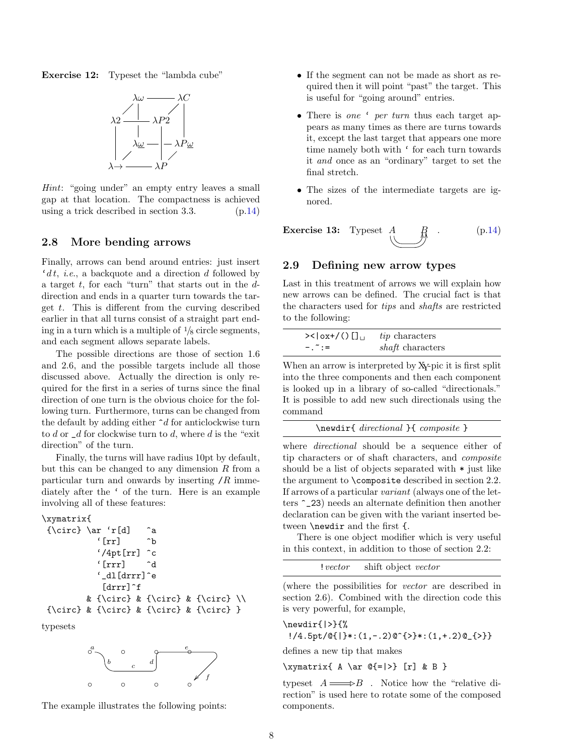<span id="page-7-2"></span>**Exercise 12:** Typeset the "lambda cube"



*Hint*: "going under" an empty entry leaves a small gap at that location. The compactness is achieved using a trick described in section 3.3. (p[.14\)](#page-13-6)

#### <span id="page-7-0"></span>**2.8 More bending arrows**

Finally, arrows can bend around entries: just insert '*d t*, *i*.*e*., a backquote and a direction *d* followed by a target *t*, for each "turn" that starts out in the *d*direction and ends in a quarter turn towards the target *t*. This is different from the curving described earlier in that all turns consist of a straight part ending in a turn which is a multiple of  $\frac{1}{8}$  circle segments, and each segment allows separate labels.

The possible directions are those of section 1.6 and 2.6, and the possible targets include all those discussed above. Actually the direction is only required for the first in a series of turns since the final direction of one turn is the obvious choice for the following turn. Furthermore, turns can be changed from the default by adding either ^*d* for anticlockwise turn to *d* or \_*d* for clockwise turn to *d*, where *d* is the "exit direction" of the turn.

Finally, the turns will have radius 10pt by default, but this can be changed to any dimension *R* from a particular turn and onwards by inserting /*R* immediately after the ' of the turn. Here is an example involving all of these features:

```
\xymatrix{
 {\circ} \ar 'r[d] ^a
            '\lbrack \mathbf{rr} \rbrack \hat{b}'/4pt[rr] ^c
            '[rrr] ^d
            '_dl[drrr]^e
             [drrr]^f
          & {\circ} & {\circ} & {\circ} \\
 {\circ} & {\circ} & {\circ} & {\circ} }
```
typesets



The example illustrates the following points:

- If the segment can not be made as short as required then it will point "past" the target. This is useful for "going around" entries.
- *•* There is *one* ' *per turn* thus each target appears as many times as there are turns towards it, except the last target that appears one more time namely both with ' for each turn towards it *and* once as an "ordinary" target to set the final stretch.
- The sizes of the intermediate targets are ignored.

**Exercise 13:** Typeset 
$$
A \oplus B
$$
 (p.14)

#### <span id="page-7-1"></span>**2.9 Defining new arrow types**

Last in this treatment of arrows we will explain how new arrows can be defined. The crucial fact is that the characters used for *tips* and *shafts* are restricted to the following:

| $>\frac{1}{\log(1)}$   | <i>tip</i> characters   |
|------------------------|-------------------------|
| $-1$ $\tilde{ }$ : $=$ | <i>shaft</i> characters |

When an arrow is interpreted by XY-pic it is first split into the three components and then each component is looked up in a library of so-called "directionals." It is possible to add new such directionals using the command

\newdir{ *directional* }{ *composite* }

where *directional* should be a sequence either of tip characters or of shaft characters, and *composite* should be a list of objects separated with \* just like the argument to \composite described in section 2.2. If arrows of a particular *variant* (always one of the letters ^\_23) needs an alternate definition then another declaration can be given with the variant inserted between \newdir and the first {.

There is one object modifier which is very useful in this context, in addition to those of section 2.2:

!*vector* shift object *vector*

(where the possibilities for *vector* are described in section 2.6). Combined with the direction code this is very powerful, for example,

```
\newdir{|>}{%
  !/4.5pt/\mathbb{G}{}_{1} +: (1,-.2)\mathbb{C}{}_{1} +: (1,+.2)\mathbb{C}{}_{1} + )
```
defines a new tip that makes

 $\xymatrix_{A \ar 0^{-}|>\} [r] & B$ 

typeset  $A \longrightarrow B$ . Notice how the "relative direction" is used here to rotate some of the composed components.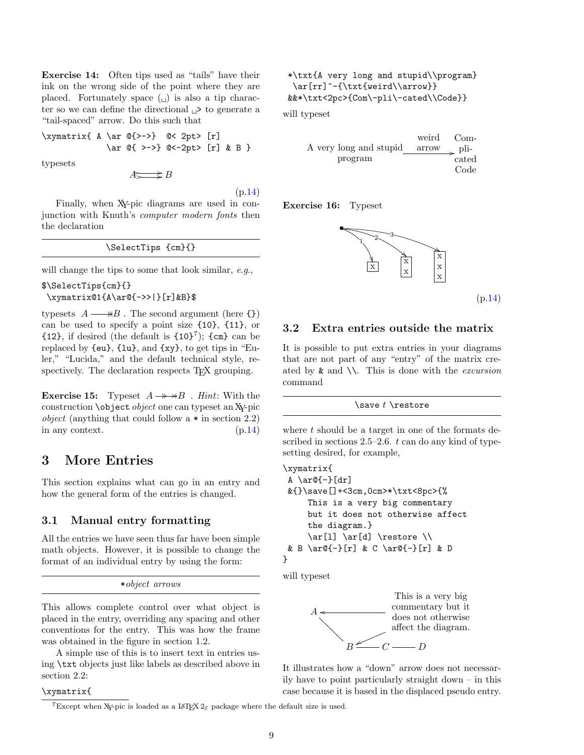<span id="page-8-5"></span><span id="page-8-4"></span>**Exercise 14:** Often tips used as "tails" have their ink on the wrong side of the point where they are placed. Fortunately space  $\left(\begin{smallmatrix} \square \\ \square \end{smallmatrix}\right)$  is also a tip character so we can define the directional  $\Box$ > to generate a "tail-spaced" arrow. Do this such that

\xymatrix{ A \ar @{>->} @< 2pt> [r] \ar @{ >->} @<-2pt> [r] & B }

typesets

*A*  $\rightrightarrows$  *B* 

(p[.14\)](#page-13-8)

Finally, when XY-pic diagrams are used in conjunction with Knuth's *computer modern fonts* then the declaration

| \SelectTips {cm}{} |  |
|--------------------|--|
|--------------------|--|

will change the tips to some that look similar, *e*.*g*.,

```
$\SelectTips{cm}{}
\xymatrix@1{A\ar@{->>|}[r]&B}$
```
typesets  $A \longrightarrow B$ . The second argument (here  $\{\}$ ) ✤ can be used to specify a point size {10}, {11}, or  ${12}$ , if desired (the default is  ${10}^7$  ${10}^7$ );  ${cm}$  can be replaced by {eu}, {lu}, and {xy}, to get tips in "Euler," "Lucida," and the default technical style, respectively. The declaration respects T<sub>E</sub>X grouping.

**Exercise 15:** Typeset  $A \rightarrow B$ . *Hint*: With the construction \object *object* one can typeset an XY-pic *object* (anything that could follow a \* in section 2.2) in any context. (p[.14\)](#page-13-9)

# <span id="page-8-0"></span>**3 More Entries**

This section explains what can go in an entry and how the general form of the entries is changed.

#### <span id="page-8-1"></span>**3.1 Manual entry formatting**

All the entries we have seen thus far have been simple math objects. However, it is possible to change the format of an individual entry by using the form:

```
*object arrows
```
This allows complete control over what object is placed in the entry, overriding any spacing and other conventions for the entry. This was how the frame was obtained in the figure in section 1.2.

A simple use of this is to insert text in entries using \txt objects just like labels as described above in section 2.2:

#### \xymatrix{

```
*\txt{A very long and stupid\\program}
 \ar[rr]^-{\txt{weird\\arrow}}
&&*\txt<2pc>{Com\-pli\-cated\\Code}}
```
will typeset

|                        | weird      | Com-  |
|------------------------|------------|-------|
| A very long and stupid | arrow pli- |       |
| program                |            | cated |
|                        |            | Code  |

**Exercise 16:** Typeset



(p[.14\)](#page-13-10)

### <span id="page-8-2"></span>**3.2 Extra entries outside the matrix**

It is possible to put extra entries in your diagrams that are not part of any "entry" of the matrix created by & and \\. This is done with the *excursion* command

#### \save *t* \restore

where *t* should be a target in one of the formats described in sections 2.5–2.6. *t* can do any kind of typesetting desired, for example,

```
\xymatrix{
 A \ar@{-}[dr]&{}\save[]+<3cm,0cm>*\txt<8pc>{%
     This is a very big commentary
     but it does not otherwise affect
     the diagram.}
     \ar[1] \ar[d] \r ara \wedge& B \ar@{-}[r] & C \ar@{-}[r] & D
}
```
will typeset



It illustrates how a "down" arrow does not necessarily have to point particularly straight down – in this case because it is based in the displaced pseudo entry.

<span id="page-8-3"></span><sup>&</sup>lt;sup>7</sup>Except when X<sub>Y</sub>-pic is loaded as a LAT<sub>E</sub>X  $2\varepsilon$  package where the default size is used.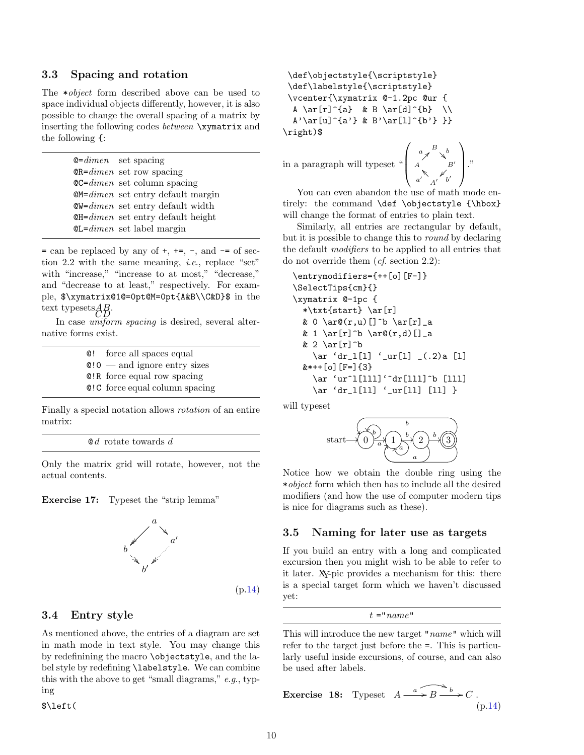#### <span id="page-9-3"></span><span id="page-9-0"></span>**3.3 Spacing and rotation**

The \**object* form described above can be used to space individual objects differently, however, it is also possible to change the overall spacing of a matrix by inserting the following codes *between* \xymatrix and the following {:

> @=*dimen* set spacing @R=*dimen* set row spacing @C=*dimen* set column spacing @M=*dimen* set entry default margin @W=*dimen* set entry default width @H=*dimen* set entry default height @L=*dimen* set label margin

 $=$  can be replaced by any of  $+$ ,  $+=$ ,  $-$ , and  $-$  of section 2.2 with the same meaning, *i*.*e*., replace "set" with "increase," "increase to at most," "decrease," and "decrease to at least," respectively. For example, \$\xymatrix@1@=0pt@M=0pt{A&B\\C&D}\$ in the text typesets $AB$ .

In case *uniform spacing* is desired, several alternative forms exist.

> @! force all spaces equal @!0 — and ignore entry sizes @!R force equal row spacing @!C force equal column spacing

Finally a special notation allows *rotation* of an entire matrix:

@ *d* rotate towards *d*

Only the matrix grid will rotate, however, not the actual contents.





#### <span id="page-9-1"></span>**3.4 Entry style**

As mentioned above, the entries of a diagram are set in math mode in text style. You may change this by redefinining the macro \objectstyle, and the label style by redefining \labelstyle. We can combine this with the above to get "small diagrams," *e*.*g*., typing

\$\left(

```
\def\objectstyle{\scriptstyle}
 \def\labelstyle{\scriptstyle}
 \vcenter{\xymatrix @-1.2pc @ur {
  A \ar[r]^{a} & B \ar[d]^{b} \\
 A' \ar[u]^{a'}\ & B'\ar[l]^{b'} }}
\right)$
```
in a paragraph will typeset "  $\sqrt{ }$ 

$$
\begin{pmatrix}\na & B & b \\
A & B' & b' \\
a' & A' & b'\n\end{pmatrix}
$$

You can even abandon the use of math mode entirely: the command **\def \objectstyle** {\hbox} will change the format of entries to plain text.

Similarly, all entries are rectangular by default, but it is possible to change this to *round* by declaring the default *modifiers* to be applied to all entries that do not override them (*cf*. section 2.2):

```
\entrymodifiers={++[o][F-]}
\SelectTips{cm}{}
\xymatrix @-1pc {
  *\txt{start} \ar[r]
  & 0 \ar\mathcal{C}(r,u) [] ^b \ar[r] _a
  & 1 \ar[r]^b \ar\mathcal{C}(r,d)[]_a
  & 2 \ar[r]^b
    \ar 'dr_l[l] '_ur[l] _(.2)a [l]
  &*++[o][F=]{3}
    \ar 'ur^l[lll]'^dr[lll]^b [lll]
    \ar 'dr_l[ll] '_ur[ll] [ll] }
```
will typeset



Notice how we obtain the double ring using the \**object* form which then has to include all the desired modifiers (and how the use of computer modern tips is nice for diagrams such as these).

#### <span id="page-9-2"></span>**3.5 Naming for later use as targets**

If you build an entry with a long and complicated excursion then you might wish to be able to refer to it later. XY-pic provides a mechanism for this: there is a special target form which we haven't discussed yet:

 $t =$ " $name$ "

This will introduce the new target "*name*" which will refer to the target just before the =. This is particularly useful inside excursions, of course, and can also be used after labels.

**Exercise 18:** Typeset 
$$
A \xrightarrow{a} B \xrightarrow{b} C
$$
. (p.14)

(p[.14\)](#page-13-11)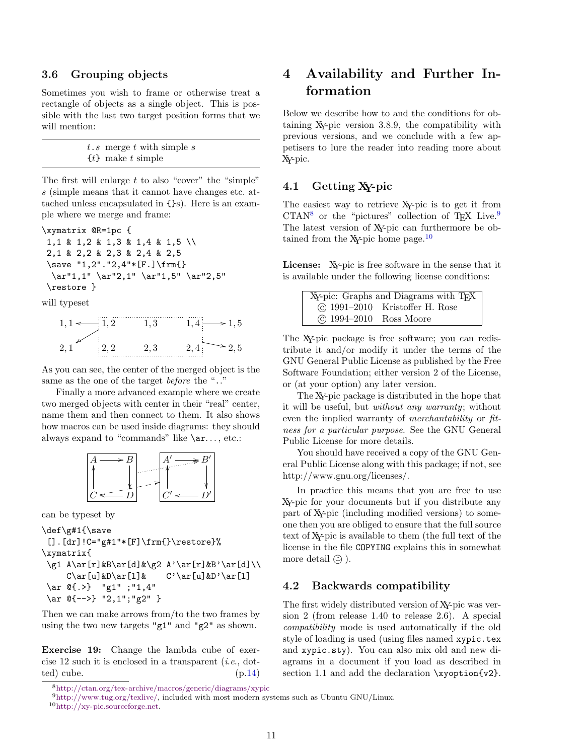### <span id="page-10-7"></span><span id="page-10-0"></span>**3.6 Grouping objects**

Sometimes you wish to frame or otherwise treat a rectangle of objects as a single object. This is possible with the last two target position forms that we will mention:

| $t.s$ merge $t$ with simple $s$ |
|---------------------------------|
| $\{t\}$ make t simple           |

The first will enlarge *t* to also "cover" the "simple" *s* (simple means that it cannot have changes etc. attached unless encapsulated in {}s). Here is an example where we merge and frame:

\xymatrix @R=1pc { 1,1 & 1,2 & 1,3 & 1,4 & 1,5 \\ 2,1 & 2,2 & 2,3 & 2,4 & 2,5 \save "1,2"."2,4"\*[F.]\frm{} \ar"1,1" \ar"2,1" \ar"1,5" \ar"2,5" \restore }

will typeset

|   | . . |   | ۳ |
|---|-----|---|---|
| . | りっ  | . |   |

As you can see, the center of the merged object is the same as the one of the target *before* the ".."

Finally a more advanced example where we create two merged objects with center in their "real" center, name them and then connect to them. It also shows how macros can be used inside diagrams: they should always expand to "commands" like  $\ar...$ , etc.:



can be typeset by

```
\def\g#1{\save
 [].[dr]!C="g#1"*[F]\frm{}\restore}%
\xymatrix{
```

```
\g1 A\ar[r]&B\ar[d]&\g2 A'\ar[r]&B'\ar[d]\\
   C\ar[u]\&D\ar[1]\& C'\ar[u]\&D'\ar[1]\ar @{.>} "g1" ;"1,4"
\ar @{-->} "2,1";"g2" }
```
Then we can make arrows from/to the two frames by using the two new targets "g1" and "g2" as shown.

**Exercise 19:** Change the lambda cube of exercise 12 such it is enclosed in a transparent (*i*.*e*., dotted) cube.  $(p.14)$  $(p.14)$ 

<span id="page-10-6"></span><span id="page-10-5"></span><sup>9</sup>[http://www.tug.org/texlive/,](http://www.tug.org/texlive/) included with most modern systems such as Ubuntu GNU/Linux.

<sup>10</sup>[http://xy-pic.sourceforge.net.](http://xy-pic.sourceforge.net)

# <span id="page-10-1"></span>**4 Availability and Further Information**

Below we describe how to and the conditions for obtaining XY-pic version 3.8.9, the compatibility with previous versions, and we conclude with a few appetisers to lure the reader into reading more about XY-pic.

### <span id="page-10-2"></span>**4.1 Getting XY-pic**

The easiest way to retrieve XY-pic is to get it from  $CTAN<sup>8</sup>$  $CTAN<sup>8</sup>$  $CTAN<sup>8</sup>$  or the "pictures" collection of T<sub>E</sub>X Live.<sup>[9](#page-10-5)</sup> The latest version of XY-pic can furthermore be ob-tained from the X<sub>Y</sub>-pic home page.<sup>[10](#page-10-6)</sup>

License: X<sub>Y</sub>-pic is free software in the sense that it is available under the following license conditions:

|                          | XY-pic: Graphs and Diagrams with TFX |
|--------------------------|--------------------------------------|
|                          | $\circ$ 1991–2010 Kristoffer H. Rose |
| (c) 1994-2010 Ross Moore |                                      |

The XY-pic package is free software; you can redistribute it and/or modify it under the terms of the GNU General Public License as published by the Free Software Foundation; either version 2 of the License, or (at your option) any later version.

The XY-pic package is distributed in the hope that it will be useful, but *without any warranty*; without even the implied warranty of *merchantability* or *fitness for a particular purpose*. See the GNU General Public License for more details.

You should have received a copy of the GNU General Public License along with this package; if not, see http://www.gnu.org/licenses/.

In practice this means that you are free to use XY-pic for your documents but if you distribute any part of XY-pic (including modified versions) to someone then you are obliged to ensure that the full source text of XY-pic is available to them (the full text of the license in the file COPYING explains this in somewhat more detail  $\circledcirc$ ).

#### <span id="page-10-3"></span>**4.2 Backwards compatibility**

The first widely distributed version of XY-pic was version 2 (from release 1.40 to release 2.6). A special *compatibility* mode is used automatically if the old style of loading is used (using files named xypic.tex and xypic.sty). You can also mix old and new diagrams in a document if you load as described in section 1.1 and add the declaration  $\xy$ -ption{v2}.

<span id="page-10-4"></span><sup>8</sup><http://ctan.org/tex-archive/macros/generic/diagrams/xypic>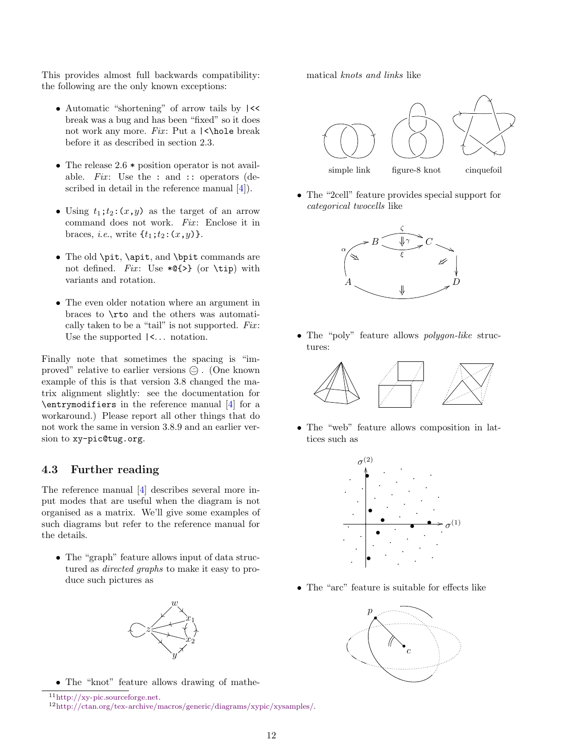<span id="page-11-3"></span>This provides almost full backwards compatibility: the following are the only known exceptions:

- Automatic "shortening" of arrow tails by  $\left\vert \right\langle \left\langle \right\vert$ break was a bug and has been "fixed" so it does not work any more. *Fix*: Put a  $\langle \rangle$ hole break before it as described in section 2.3.
- The release 2.6  $*$  position operator is not available. *Fix*: Use the : and :: operators (described in detail in the reference manual  $[4]$ .
- Using  $t_1$ ;*t*<sub>2</sub>: $(x, y)$  as the target of an arrow command does not work. *Fix*: Enclose it in braces, *i.e.*, write  $\{t_1; t_2: (x, y)\}.$
- *•* The old \pit, \apit, and \bpit commands are not defined. *Fix*: Use  $*Q\$  (or \tip) with variants and rotation.
- *•* The even older notation where an argument in braces to \rto and the others was automatically taken to be a "tail" is not supported. *Fix* : Use the supported  $\vert \langle \cdot \rangle$ ... notation.

Finally note that sometimes the spacing is "improved" relative to earlier versions *☉*. (One known example of this is that version 3.8 changed the matrix alignment slightly: see the documentation for \entrymodifiers in the reference manual [\[4\]](#page-13-1) for a workaround.) Please report all other things that do not work the same in version 3.8.9 and an earlier version to xy-pic@tug.org.

### <span id="page-11-0"></span>**4.3 Further reading**

The reference manual [\[4\]](#page-13-1) describes several more input modes that are useful when the diagram is not organised as a matrix. We'll give some examples of such diagrams but refer to the reference manual for the details.

• The "graph" feature allows input of data structured as *directed graphs* to make it easy to produce such pictures as



• The "knot" feature allows drawing of mathe-

<span id="page-11-1"></span><sup>11</sup>[http://xy-pic.sourceforge.net.](http://xy-pic.sourceforge.net)

matical *knots and links* like



*•* The "2cell" feature provides special support for *categorical twocells* like



*•* The "poly" feature allows *polygon-like* structures:



• The "web" feature allows composition in lattices such as



*•* The "arc" feature is suitable for effects like



<span id="page-11-2"></span><sup>12</sup>[http://ctan.org/tex-archive/macros/generic/diagrams/xypic/xysamples/.](http://ctan.org/tex-archive/macros/generic/diagrams/xypic/xysamples/)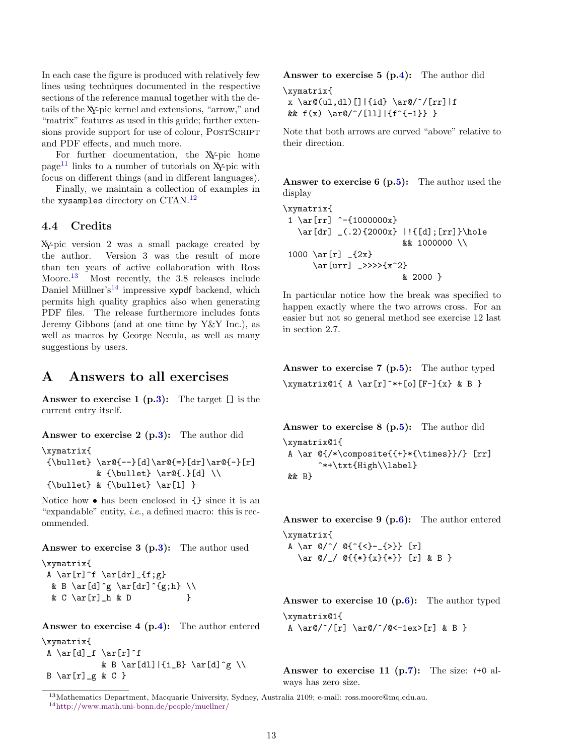In each case the figure is produced with relatively few lines using techniques documented in the respective sections of the reference manual together with the details of the XY-pic kernel and extensions, "arrow," and "matrix" features as used in this guide; further extensions provide support for use of colour, POSTSCRIPT and PDF effects, and much more.

For further documentation, the XY-pic home  $page<sup>11</sup>$  $page<sup>11</sup>$  $page<sup>11</sup>$  links to a number of tutorials on XY-pic with focus on different things (and in different languages).

Finally, we maintain a collection of examples in the xysamples directory on CTAN.[12](#page-11-2)

### <span id="page-12-0"></span>**4.4 Credits**

XY-pic version 2 was a small package created by the author. Version 3 was the result of more than ten years of active collaboration with Ross Moore.<sup>[13](#page-12-13)</sup> Most recently, the 3.8 releases include Daniel Müllner's<sup>[14](#page-12-14)</sup> impressive xypdf backend, which permits high quality graphics also when generating PDF files. The release furthermore includes fonts Jeremy Gibbons (and at one time by Y&Y Inc.), as well as macros by George Necula, as well as many suggestions by users.

# <span id="page-12-1"></span>**A Answers to all exercises**

<span id="page-12-2"></span>**Answer to exercise 1 (p[.3\)](#page-2-0):** The target [] is the current entry itself.

<span id="page-12-3"></span>**Answer to exercise 2 (p[.3\)](#page-2-3):** The author did

```
\xymatrix{
{\bullet} \ar@{-}-\adot \ar@{-}\car@{-}& {\bullet} \ar@{.}[d] \\
 {\bullet} \ \& \ {\bullet} \ \ar[1] \}
```
Notice how • has been enclosed in  $\{\}$  since it is an "expandable" entity, *i*.*e*., a defined macro: this is recommended.

### <span id="page-12-4"></span>**Answer to exercise 3 (p[.3\)](#page-2-1):** The author used

\xymatrix{ A  $\ar[r]$ <sup>f</sup>  $\ar[dr]_{f;g}$ & B \ar[d]^g \ar[dr]^{g;h} \\ & C \ar[r]\_h & D }

<span id="page-12-5"></span>**Answer to exercise 4 (p[.4\)](#page-2-2):** The author entered \xymatrix{

A \ar[d]\_f \ar[r]^f & B \ar[dl]|{i\_B} \ar[d]^g \\  $B \ar[r]$ *g & C }* 

<span id="page-12-6"></span>**Answer to exercise 5 (p[.4\)](#page-3-0):** The author did

```
\xymatrix{
x \ar(0, d)[]|{id} \ar@/^/[rr]|f
& f(x) \ar@{'}/[11] |{f^-{-1}} \}
```
Note that both arrows are curved "above" relative to their direction.

<span id="page-12-7"></span>**Answer to exercise 6 (p[.5\)](#page-3-3):** The author used the display

```
\xymatrix{
 1 \ar[rr] ^{\text{-}}{1000000x}
   \ar[dr] _(.2){2000x} |!{[d];[rr]}\hole
                          && 1000000 \\
 1000 \ar[r] _{2x}}
      \ar[urr] _>>>>{x^2}
                          & 2000 }
```
In particular notice how the break was specified to happen exactly where the two arrows cross. For an easier but not so general method see exercise 12 last in section 2.7.

<span id="page-12-8"></span>**Answer to exercise 7 (p[.5\)](#page-4-0):** The author typed  $\xymatrix@1{ A \ar[r]^*+[o][F-]{x} & B }$ 

<span id="page-12-9"></span>**Answer to exercise 8 (p[.5\)](#page-4-3):** The author did \xymatrix@1{ A \ar  $@{\/*}\composite{+}*(\times)}$  [rr] ^\*+\txt{High\\label} && B}

<span id="page-12-10"></span>**Answer to exercise 9 (p[.6\)](#page-5-0):** The author entered \xymatrix{

A \ar  $\mathbb{Q}/\hat{ }$  /  $\mathbb{Q}^{(1)}$   $\{<\} \{>\}\$  [r] \ar @/\_/ @{{\*}{x}{\*}} [r] & B }

<span id="page-12-11"></span>**Answer to exercise 10 (p[.6\)](#page-5-1):** The author typed \xymatrix@1{ A \ar $\binom{r}{r} \ar{0}^{\alpha-1ex}$  [r] & B }

<span id="page-12-12"></span>**Answer to exercise 11 (p[.7\)](#page-6-1):** The size:  $t+0$  always has zero size.

<span id="page-12-14"></span><span id="page-12-13"></span><sup>13</sup>Mathematics Department, Macquarie University, Sydney, Australia 2109; e-mail: ross.moore@mq.edu.au. <sup>14</sup><http://www.math.uni-bonn.de/people/muellner/>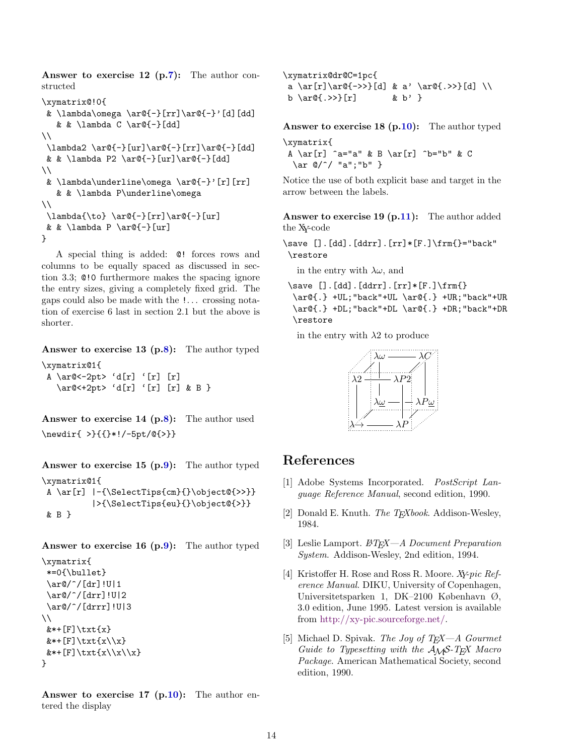<span id="page-13-6"></span>**Answer to exercise 12 (p[.7\)](#page-6-2):** The author constructed

```
\xymatrix@!0{
& \lambda\omega \ar@{-}[rr]\ar@{-}'[d][dd]
   & & \lambda C \ar@{-}[dd]
\setminus\lambda2 \ar@{-}[ur]\ar@{-}[rr]\ar@{-}[dd]
 & & \lambda P2 \ar@{-}[ur]\ar@{-}[dd]
\setminus& \lambda\underline{\omega \ar@{-}}' [r][rr]& & \lambda P\underline\omega
\setminus\lambda{\to} \ar@{-}[rr]\ar@{-}[ur]
& & \lambda P \ar@{-}[ur]
}
```
A special thing is added: @! forces rows and columns to be equally spaced as discussed in section 3.3; @!0 furthermore makes the spacing ignore the entry sizes, giving a completely fixed grid. The gaps could also be made with the !. . . crossing notation of exercise 6 last in section 2.1 but the above is shorter.

<span id="page-13-7"></span>**Answer to exercise 13 (p[.8\)](#page-7-0):** The author typed

\xymatrix@1{ A  $\ar@<-2pt> 'd[r] '[r] [r]$ \ar@<+2pt> 'd[r] '[r] [r] & B }

<span id="page-13-8"></span>**Answer to exercise 14 (p[.8\)](#page-7-1):** The author used \newdir{ >}{{}\*!/-5pt/@{>}}

<span id="page-13-9"></span>**Answer to exercise 15 (p[.9\)](#page-8-4):** The author typed \xymatrix@1{ A \ar[r] |-{\SelectTips{cm}{}\object@{>>}} |>{\SelectTips{eu}{}\object@{>}} & B }

<span id="page-13-10"></span>**Answer to exercise 16 (p[.9\)](#page-8-1):** The author typed \xymatrix{

```
*=0{\bullet}
 \ar@/^/[dr]!U|1
 \ar@/^/[drr]!U|2
 \ar@/^/[drrr]!U|3
\setminus& *+[F]\text{xt}\{x\}&*+ [F] \text{x\x\x&*+[F]\text{xt}\{x\}\x\}
```
<span id="page-13-11"></span>**Answer to exercise 17 (p[.10\)](#page-9-0):** The author entered the display

```
\xymatrix@dr@C=1pc{
 a \ar[r]\ar@{->>}[d] & a' \ar@{.>>}[d] \\
 b \ar\mathbb{C}. >>}[r] & b' }
```
<span id="page-13-12"></span>**Answer to exercise 18 (p[.10\)](#page-9-2):** The author typed \xymatrix{

A  $\ar[r]$   $\ar[r]$   $\ar[k]$   $\ar[r]$   $\ar[b]$   $\ar[k]$ \ar @/^/ "a";"b" }

Notice the use of both explicit base and target in the arrow between the labels.

<span id="page-13-13"></span>**Answer to exercise 19 (p[.11\)](#page-10-0):** The author added the XY-code

\save [].[dd].[ddrr].[rr]\*[F.]\frm{}="back" \restore

in the entry with  $\lambda \omega$ , and

```
\simeq [].[dd].[ddrr].[rr]*[F.]\rm{)}\ar@{.} +UL;"back"+UL \ar@{.} +UR;"back"+UR
 \ar@{.} +DL;"back"+DL \ar@{.} +DR;"back"+DR
 \restore
```
in the entry with  $\lambda$ 2 to produce



# <span id="page-13-0"></span>**References**

- <span id="page-13-5"></span>[1] Adobe Systems Incorporated. *PostScript Language Reference Manual*, second edition, 1990.
- <span id="page-13-2"></span>[2] Donald E. Knuth. *The TEXbook*. Addison-Wesley, 1984.
- <span id="page-13-3"></span>[3] Leslie Lamport. *LATEX—A Document Preparation System*. Addison-Wesley, 2nd edition, 1994.
- <span id="page-13-1"></span>[4] Kristoffer H. Rose and Ross R. Moore. *XY-pic Reference Manual*. DIKU, University of Copenhagen, Universitetsparken 1, DK–2100 København Ø, 3.0 edition, June 1995. Latest version is available from [http://xy-pic.sourceforge.net/.](http://xy-pic.sourceforge.net/)
- <span id="page-13-4"></span>[5] Michael D. Spivak. *The Joy of TEX—A Gourmet Guide to Typesetting with the AMS-TEX Macro Package*. American Mathematical Society, second edition, 1990.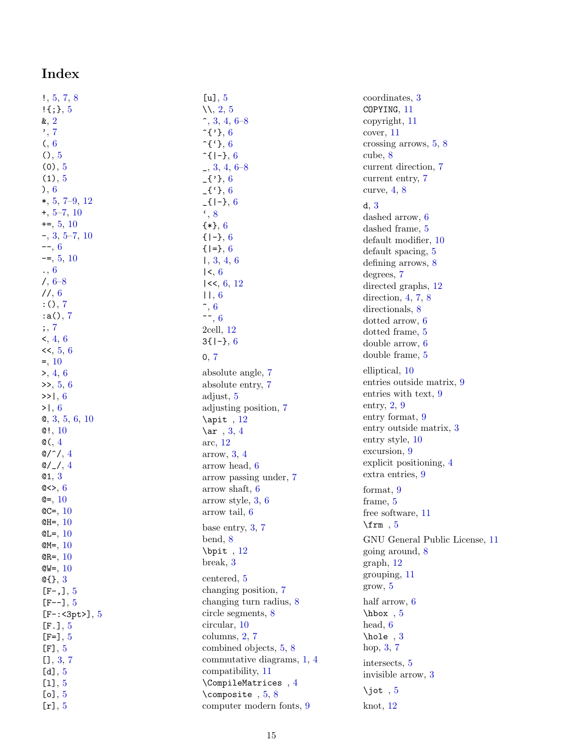# **Index**

<span id="page-14-0"></span>

| !, 5, 7, 8                                                                                   |
|----------------------------------------------------------------------------------------------|
| $! \{ ; \}$ , 5                                                                              |
| $\alpha$ , 2                                                                                 |
|                                                                                              |
|                                                                                              |
|                                                                                              |
|                                                                                              |
|                                                                                              |
| $\alpha, 7$<br>, 7<br>(, 6<br>(), 5<br>(0), 5<br>(1), 5                                      |
|                                                                                              |
| $\begin{array}{c} \n\text{, } 6 \\ \text{*, } 5, 7-9, 12 \\ \text{*, } 5-7, 10\n\end{array}$ |
|                                                                                              |
| $+=, 5, 10$                                                                                  |
| $-$ , 3, 5–7, 10<br>--, 6<br>-=, 5, 10                                                       |
|                                                                                              |
|                                                                                              |
|                                                                                              |
| $\frac{1}{6}$ , 6-8                                                                          |
| 11, 6                                                                                        |
| $: 0, 7$<br>$: a()$ ,                                                                        |
| $\overline{7}$                                                                               |
| ; 7                                                                                          |
| $\leq, 4, 6$                                                                                 |
| <<, 5, 6                                                                                     |
| $=, 10$                                                                                      |
| >, 4, 6                                                                                      |
| $\gg$ , 5, 6                                                                                 |
| >>1, 6                                                                                       |
| >1, 6                                                                                        |
| 0, 3, 5, 6, 10                                                                               |
| $\mathbf{Q}$ !, 10                                                                           |
| $\mathsf{Q}$ (, $4$                                                                          |
| $@/^{\widehat{}}/$<br>$\overline{\mathbf{4}}$                                                |
| $@/_{\_}/$ ,<br>$\overline{4}$                                                               |
| Q1, 3                                                                                        |
| @<>, $6$                                                                                     |
| $Q = 10$                                                                                     |
| $QC = 10$                                                                                    |
| $QH = 10$                                                                                    |
| $QL = 10$                                                                                    |
| $QM = 10$                                                                                    |
| <b>10</b>                                                                                    |
| QR=,<br><b>10</b>                                                                            |
| @W=,                                                                                         |
| $\mathbb{G}\{ \}$ , 3                                                                        |
| $[F-,], 5$                                                                                   |
| $[F--], 5$                                                                                   |
| $[F-$ :<3pt>], 5                                                                             |
| [F.], $5$                                                                                    |
| [F=], $5$                                                                                    |
| [F], $5\,$                                                                                   |
| [1, 3, 7]                                                                                    |
| [d], $5\,$                                                                                   |
| [1], $5\,$                                                                                   |
|                                                                                              |
| [o] $,5$<br>[r], $5\,$                                                                       |

| [u], $5$                   |
|----------------------------|
| $\mathcal{N}, 2, 5$        |
| $\hat{,} 3, 4, 6 - 8$      |
| $\hat{}$ {'}, 6            |
| $\hat{C}$ {'}, 6           |
| $\hat{}$ [ -}, 6           |
| $-$ , 3, 4, 6–8            |
| $-$ {'}, 6                 |
| $-f'$ }, 6                 |
| $[-1 - 3, 6]$              |
| $\cdot$ , 8                |
| ${*}$ , 6                  |
| $\{-1, 6$                  |
| $\{   = \}, 6$             |
| 1, 3, 4, 6                 |
| 1<, 6                      |
| $1<\lt$ , 6, 12            |
| 11, 6                      |
| $\tilde{\phantom{a}}$ , 6  |
| $\sim$ , 6                 |
| $2$ cell, $12$             |
| $3\{1-\}, 6$               |
| 0, 7                       |
| absolute angle, 7          |
| absolute entry, 7          |
| adjust, 5                  |
| adjusting position, 7      |
| $\alpha$ it, 12            |
|                            |
| \ar $, 3, 4$<br>arc, 12    |
| arrow, 3, 4                |
| arrow head, 6              |
| arrow passing under, 7     |
| arrow shaft, 6             |
| arrow style, 3, 6          |
| arrow tail, 6              |
|                            |
| base entry, $3, 7$         |
| bend, 8                    |
| $\phi$ : $12$              |
| break, 3                   |
| centered, 5                |
| changing position, 7       |
| changing turn radius, 8    |
| circle segments, 8         |
| circular, 10               |
| columns, 2, 7              |
| combined objects, 5, 8     |
| commutative diagrams, 1, 4 |
| compatibility, 11          |
| $\Omega$ , $4$             |
| \composite $, 5, 8$        |
| computer modern fonts, 9   |

coordinates, [3](#page-2-4) COPYING , [11](#page-10-7) copyright, [11](#page-10-7) cover, [11](#page-10-7) crossing arrows, [5](#page-4-4) , [8](#page-7-2) cube, [8](#page-7-2) current direction, [7](#page-6-3) current entry, [7](#page-6-3) curve, [4](#page-3-5) , [8](#page-7-2) d , [3](#page-2-4) dashed arrow, [6](#page-5-2) dashed frame, [5](#page-4-4) default modifier, [10](#page-9-3) default spacing, [5](#page-4-4) defining arrows, [8](#page-7-2) degrees, [7](#page-6-3) directed graphs, [12](#page-11-3) direction, [4](#page-3-5), [7](#page-6-3), [8](#page-7-2) directionals, [8](#page-7-2) dotted arrow, [6](#page-5-2) dotted frame, [5](#page-4-4) double arrow, [6](#page-5-2) double frame, [5](#page-4-4) elliptical, [10](#page-9-3) entries outside matrix, [9](#page-8-5) entries with text, [9](#page-8-5) entry, [2](#page-1-7), [9](#page-8-5) entry format, [9](#page-8-5) entry outside matrix, [3](#page-2-4) entry style, [10](#page-9-3) excursion, [9](#page-8-5) explicit positioning, [4](#page-3-5) extra entries, [9](#page-8-5) format, [9](#page-8-5) frame, [5](#page-4-4) free software, [11](#page-10-7) \frm , [5](#page-4-4) GNU General Public License, [11](#page-10-7) going around, [8](#page-7-2) graph, [12](#page-11-3) grouping, [11](#page-10-7) grow, [5](#page-4-4) half arrow, [6](#page-5-2) \hbox , [5](#page-4-4) head, [6](#page-5-2) \hole , [3](#page-2-4) hop, [3](#page-2-4) , [7](#page-6-3) intersects, [5](#page-4-4) invisible arrow, [3](#page-2-4) \jot  $,5$  $,5$ knot, [12](#page-11-3)